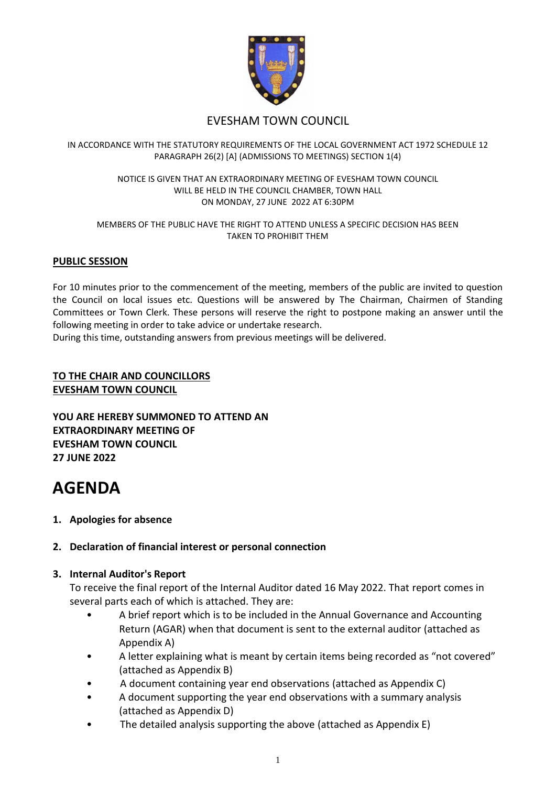

# EVESHAM TOWN COUNCIL

#### IN ACCORDANCE WITH THE STATUTORY REQUIREMENTS OF THE LOCAL GOVERNMENT ACT 1972 SCHEDULE 12 PARAGRAPH 26(2) [A] (ADMISSIONS TO MEETINGS) SECTION 1(4)

#### NOTICE IS GIVEN THAT AN EXTRAORDINARY MEETING OF EVESHAM TOWN COUNCIL WILL BE HELD IN THE COUNCIL CHAMBER, TOWN HALL ON MONDAY, 27 JUNE 2022 AT 6:30PM

#### MEMBERS OF THE PUBLIC HAVE THE RIGHT TO ATTEND UNLESS A SPECIFIC DECISION HAS BEEN TAKEN TO PROHIBIT THEM

#### **PUBLIC SESSION**

For 10 minutes prior to the commencement of the meeting, members of the public are invited to question the Council on local issues etc. Questions will be answered by The Chairman, Chairmen of Standing Committees or Town Clerk. These persons will reserve the right to postpone making an answer until the following meeting in order to take advice or undertake research.

During this time, outstanding answers from previous meetings will be delivered.

#### **TO THE CHAIR AND COUNCILLORS EVESHAM TOWN COUNCIL**

**YOU ARE HEREBY SUMMONED TO ATTEND AN EXTRAORDINARY MEETING OF EVESHAM TOWN COUNCIL 27 JUNE 2022**

# **AGENDA**

**1. Apologies for absence**

#### **2. Declaration of financial interest or personal connection**

#### **3. Internal Auditor's Report**

To receive the final report of the Internal Auditor dated 16 May 2022. That report comes in several parts each of which is attached. They are:

- A brief report which is to be included in the Annual Governance and Accounting Return (AGAR) when that document is sent to the external auditor (attached as Appendix A)
- A letter explaining what is meant by certain items being recorded as "not covered" (attached as Appendix B)
- A document containing year end observations (attached as Appendix C)
- A document supporting the year end observations with a summary analysis (attached as Appendix D)
- The detailed analysis supporting the above (attached as Appendix E)